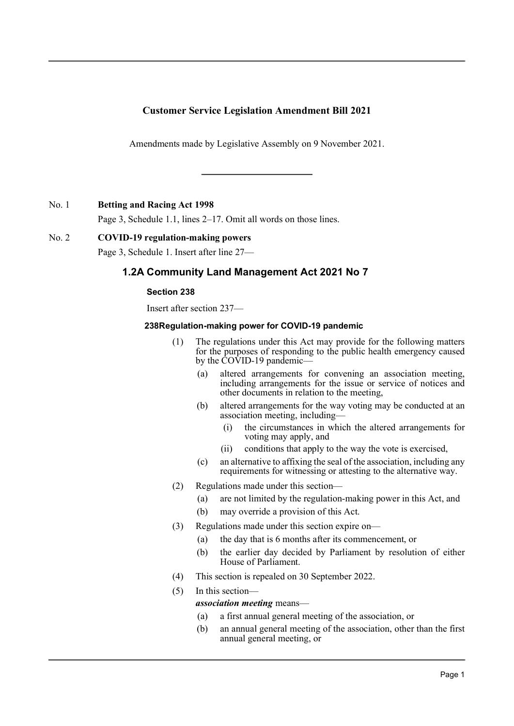# **Customer Service Legislation Amendment Bill 2021**

Amendments made by Legislative Assembly on 9 November 2021.

No. 1 **Betting and Racing Act 1998**

Page 3, Schedule 1.1, lines 2–17. Omit all words on those lines.

## No. 2 **COVID-19 regulation-making powers**

Page 3, Schedule 1. Insert after line 27—

# **1.2A Community Land Management Act 2021 No 7**

## **Section 238**

Insert after section 237—

#### **238Regulation-making power for COVID-19 pandemic**

- (1) The regulations under this Act may provide for the following matters for the purposes of responding to the public health emergency caused by the COVID-19 pandemic—
	- (a) altered arrangements for convening an association meeting, including arrangements for the issue or service of notices and other documents in relation to the meeting,
	- (b) altered arrangements for the way voting may be conducted at an association meeting, including—
		- (i) the circumstances in which the altered arrangements for voting may apply, and
		- (ii) conditions that apply to the way the vote is exercised,
	- (c) an alternative to affixing the seal of the association, including any requirements for witnessing or attesting to the alternative way.
- (2) Regulations made under this section—
	- (a) are not limited by the regulation-making power in this Act, and
	- (b) may override a provision of this Act.
- (3) Regulations made under this section expire on—
	- (a) the day that is 6 months after its commencement, or
	- (b) the earlier day decided by Parliament by resolution of either House of Parliament.
- (4) This section is repealed on 30 September 2022.
- (5) In this section—

### *association meeting* means—

- (a) a first annual general meeting of the association, or
- (b) an annual general meeting of the association, other than the first annual general meeting, or